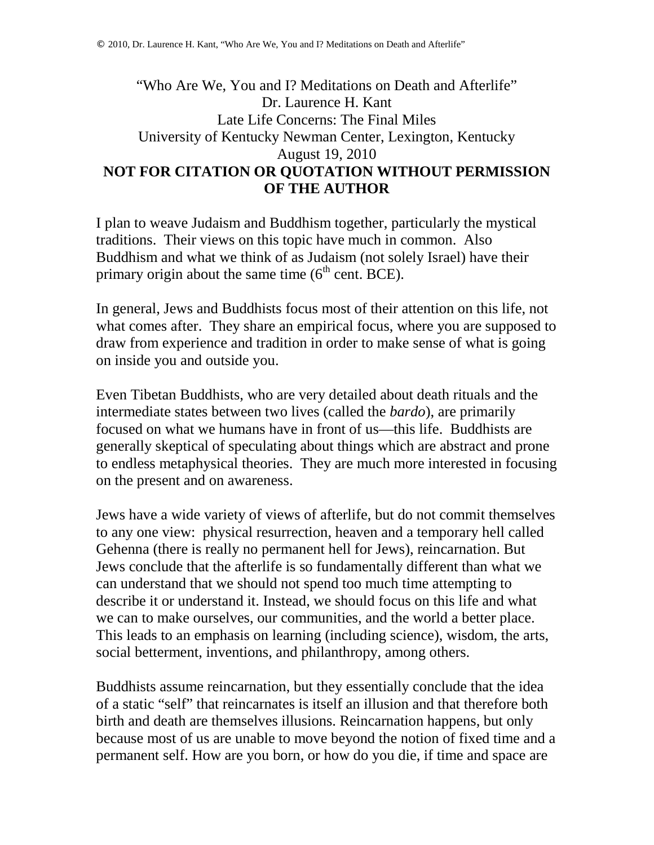## "Who Are We, You and I? Meditations on Death and Afterlife" Dr. Laurence H. Kant Late Life Concerns: The Final Miles University of Kentucky Newman Center, Lexington, Kentucky August 19, 2010 **NOT FOR CITATION OR QUOTATION WITHOUT PERMISSION OF THE AUTHOR**

I plan to weave Judaism and Buddhism together, particularly the mystical traditions. Their views on this topic have much in common. Also Buddhism and what we think of as Judaism (not solely Israel) have their primary origin about the same time  $(6<sup>th</sup>$  cent. BCE).

In general, Jews and Buddhists focus most of their attention on this life, not what comes after. They share an empirical focus, where you are supposed to draw from experience and tradition in order to make sense of what is going on inside you and outside you.

Even Tibetan Buddhists, who are very detailed about death rituals and the intermediate states between two lives (called the *bardo*), are primarily focused on what we humans have in front of us—this life. Buddhists are generally skeptical of speculating about things which are abstract and prone to endless metaphysical theories. They are much more interested in focusing on the present and on awareness.

Jews have a wide variety of views of afterlife, but do not commit themselves to any one view: physical resurrection, heaven and a temporary hell called Gehenna (there is really no permanent hell for Jews), reincarnation. But Jews conclude that the afterlife is so fundamentally different than what we can understand that we should not spend too much time attempting to describe it or understand it. Instead, we should focus on this life and what we can to make ourselves, our communities, and the world a better place. This leads to an emphasis on learning (including science), wisdom, the arts, social betterment, inventions, and philanthropy, among others.

Buddhists assume reincarnation, but they essentially conclude that the idea of a static "self" that reincarnates is itself an illusion and that therefore both birth and death are themselves illusions. Reincarnation happens, but only because most of us are unable to move beyond the notion of fixed time and a permanent self. How are you born, or how do you die, if time and space are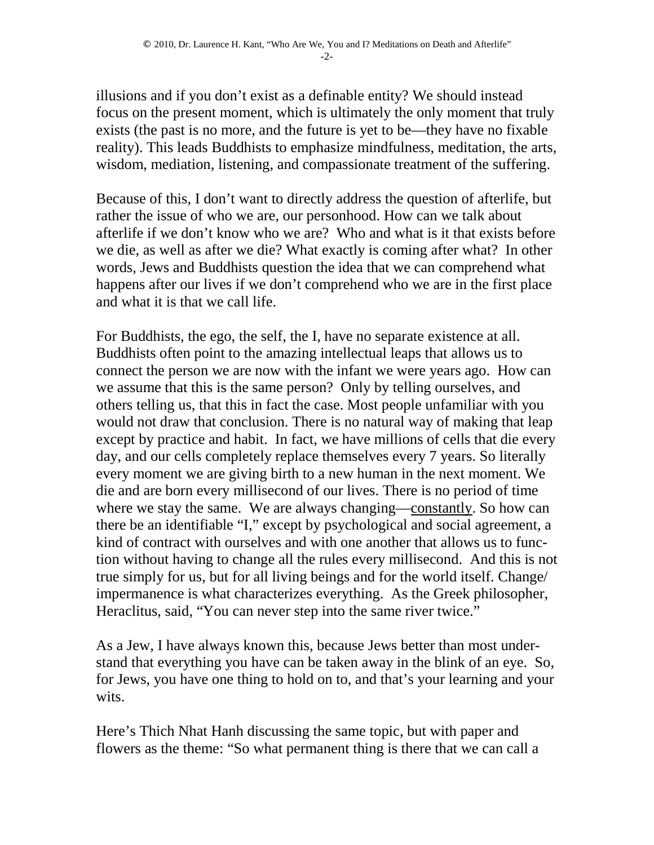illusions and if you don't exist as a definable entity? We should instead focus on the present moment, which is ultimately the only moment that truly exists (the past is no more, and the future is yet to be—they have no fixable reality). This leads Buddhists to emphasize mindfulness, meditation, the arts, wisdom, mediation, listening, and compassionate treatment of the suffering.

Because of this, I don't want to directly address the question of afterlife, but rather the issue of who we are, our personhood. How can we talk about afterlife if we don't know who we are? Who and what is it that exists before we die, as well as after we die? What exactly is coming after what? In other words, Jews and Buddhists question the idea that we can comprehend what happens after our lives if we don't comprehend who we are in the first place and what it is that we call life.

For Buddhists, the ego, the self, the I, have no separate existence at all. Buddhists often point to the amazing intellectual leaps that allows us to connect the person we are now with the infant we were years ago. How can we assume that this is the same person? Only by telling ourselves, and others telling us, that this in fact the case. Most people unfamiliar with you would not draw that conclusion. There is no natural way of making that leap except by practice and habit. In fact, we have millions of cells that die every day, and our cells completely replace themselves every 7 years. So literally every moment we are giving birth to a new human in the next moment. We die and are born every millisecond of our lives. There is no period of time where we stay the same. We are always changing—constantly. So how can there be an identifiable "I," except by psychological and social agreement, a kind of contract with ourselves and with one another that allows us to function without having to change all the rules every millisecond. And this is not true simply for us, but for all living beings and for the world itself. Change/ impermanence is what characterizes everything. As the Greek philosopher, Heraclitus, said, "You can never step into the same river twice."

As a Jew, I have always known this, because Jews better than most understand that everything you have can be taken away in the blink of an eye. So, for Jews, you have one thing to hold on to, and that's your learning and your wits.

Here's Thich Nhat Hanh discussing the same topic, but with paper and flowers as the theme: "So what permanent thing is there that we can call a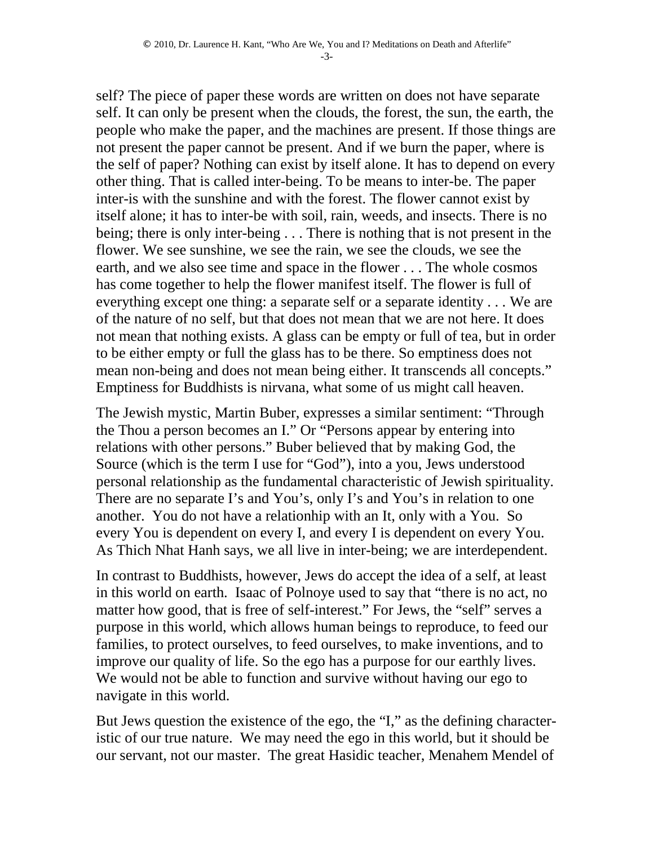self? The piece of paper these words are written on does not have separate self. It can only be present when the clouds, the forest, the sun, the earth, the people who make the paper, and the machines are present. If those things are not present the paper cannot be present. And if we burn the paper, where is the self of paper? Nothing can exist by itself alone. It has to depend on every other thing. That is called inter-being. To be means to inter-be. The paper inter-is with the sunshine and with the forest. The flower cannot exist by itself alone; it has to inter-be with soil, rain, weeds, and insects. There is no being; there is only inter-being . . . There is nothing that is not present in the flower. We see sunshine, we see the rain, we see the clouds, we see the earth, and we also see time and space in the flower . . . The whole cosmos has come together to help the flower manifest itself. The flower is full of everything except one thing: a separate self or a separate identity . . . We are of the nature of no self, but that does not mean that we are not here. It does not mean that nothing exists. A glass can be empty or full of tea, but in order to be either empty or full the glass has to be there. So emptiness does not mean non-being and does not mean being either. It transcends all concepts." Emptiness for Buddhists is nirvana, what some of us might call heaven.

The Jewish mystic, Martin Buber, expresses a similar sentiment: "Through the Thou a person becomes an I." Or "Persons appear by entering into relations with other persons." Buber believed that by making God, the Source (which is the term I use for "God"), into a you, Jews understood personal relationship as the fundamental characteristic of Jewish spirituality. There are no separate I's and You's, only I's and You's in relation to one another. You do not have a relationhip with an It, only with a You. So every You is dependent on every I, and every I is dependent on every You. As Thich Nhat Hanh says, we all live in inter-being; we are interdependent.

In contrast to Buddhists, however, Jews do accept the idea of a self, at least in this world on earth. Isaac of Polnoye used to say that "there is no act, no matter how good, that is free of self-interest." For Jews, the "self" serves a purpose in this world, which allows human beings to reproduce, to feed our families, to protect ourselves, to feed ourselves, to make inventions, and to improve our quality of life. So the ego has a purpose for our earthly lives. We would not be able to function and survive without having our ego to navigate in this world.

But Jews question the existence of the ego, the "I," as the defining characteristic of our true nature. We may need the ego in this world, but it should be our servant, not our master. The great Hasidic teacher, Menahem Mendel of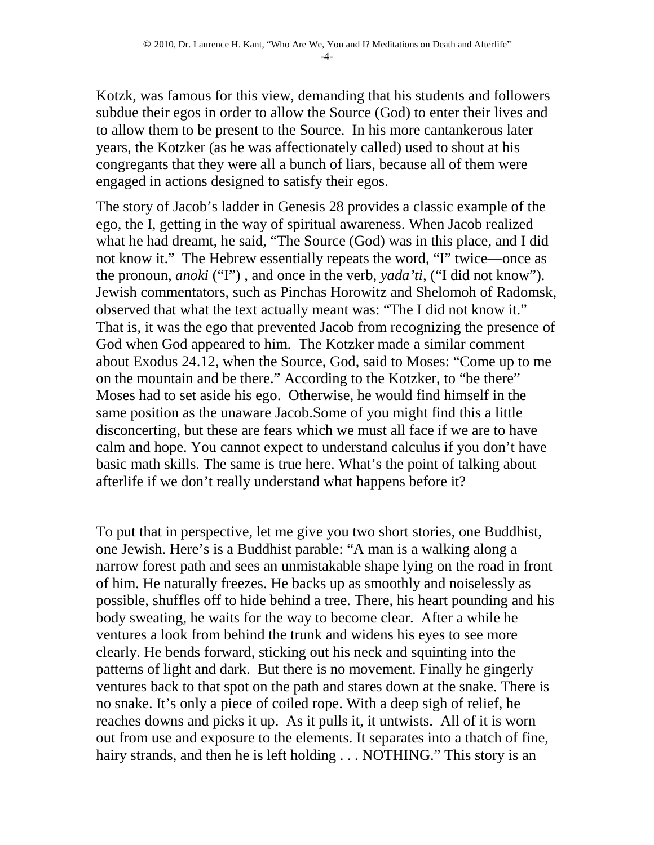Kotzk, was famous for this view, demanding that his students and followers subdue their egos in order to allow the Source (God) to enter their lives and to allow them to be present to the Source. In his more cantankerous later years, the Kotzker (as he was affectionately called) used to shout at his congregants that they were all a bunch of liars, because all of them were engaged in actions designed to satisfy their egos.

The story of Jacob's ladder in Genesis 28 provides a classic example of the ego, the I, getting in the way of spiritual awareness. When Jacob realized what he had dreamt, he said, "The Source (God) was in this place, and I did not know it." The Hebrew essentially repeats the word, "I" twice—once as the pronoun, *anoki* ("I") , and once in the verb, *yada'ti*, ("I did not know"). Jewish commentators, such as Pinchas Horowitz and Shelomoh of Radomsk, observed that what the text actually meant was: "The I did not know it." That is, it was the ego that prevented Jacob from recognizing the presence of God when God appeared to him. The Kotzker made a similar comment about Exodus 24.12, when the Source, God, said to Moses: "Come up to me on the mountain and be there." According to the Kotzker, to "be there" Moses had to set aside his ego. Otherwise, he would find himself in the same position as the unaware Jacob.Some of you might find this a little disconcerting, but these are fears which we must all face if we are to have calm and hope. You cannot expect to understand calculus if you don't have basic math skills. The same is true here. What's the point of talking about afterlife if we don't really understand what happens before it?

To put that in perspective, let me give you two short stories, one Buddhist, one Jewish. Here's is a Buddhist parable: "A man is a walking along a narrow forest path and sees an unmistakable shape lying on the road in front of him. He naturally freezes. He backs up as smoothly and noiselessly as possible, shuffles off to hide behind a tree. There, his heart pounding and his body sweating, he waits for the way to become clear. After a while he ventures a look from behind the trunk and widens his eyes to see more clearly. He bends forward, sticking out his neck and squinting into the patterns of light and dark. But there is no movement. Finally he gingerly ventures back to that spot on the path and stares down at the snake. There is no snake. It's only a piece of coiled rope. With a deep sigh of relief, he reaches downs and picks it up. As it pulls it, it untwists. All of it is worn out from use and exposure to the elements. It separates into a thatch of fine, hairy strands, and then he is left holding . . . NOTHING." This story is an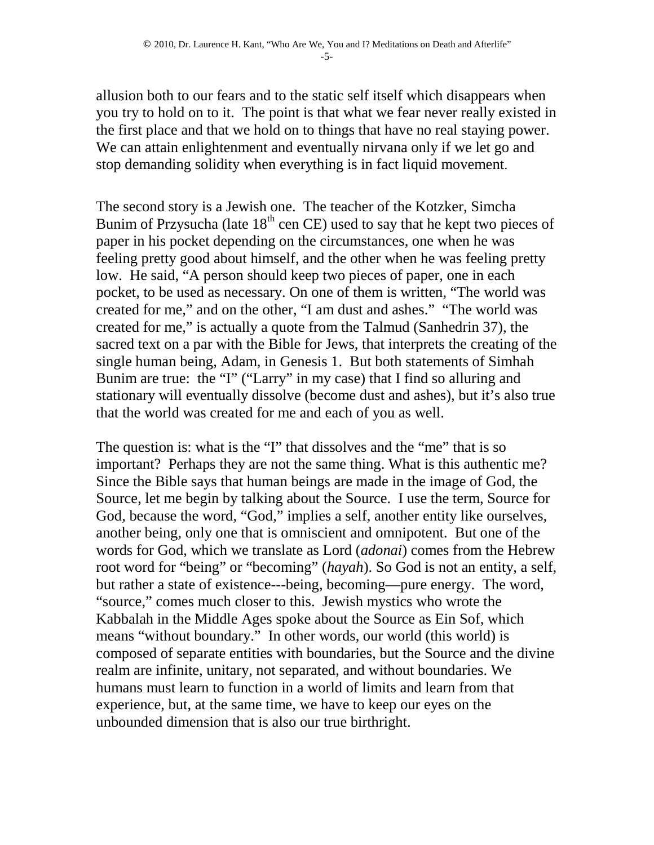allusion both to our fears and to the static self itself which disappears when you try to hold on to it. The point is that what we fear never really existed in the first place and that we hold on to things that have no real staying power. We can attain enlightenment and eventually nirvana only if we let go and stop demanding solidity when everything is in fact liquid movement.

The second story is a Jewish one. The teacher of the Kotzker, Simcha Bunim of Przysucha (late  $18<sup>th</sup>$  cen CE) used to say that he kept two pieces of paper in his pocket depending on the circumstances, one when he was feeling pretty good about himself, and the other when he was feeling pretty low. He said, "A person should keep two pieces of paper, one in each pocket, to be used as necessary. On one of them is written, "The world was created for me," and on the other, "I am dust and ashes." "The world was created for me," is actually a quote from the Talmud (Sanhedrin 37), the sacred text on a par with the Bible for Jews, that interprets the creating of the single human being, Adam, in Genesis 1. But both statements of Simhah Bunim are true: the "I" ("Larry" in my case) that I find so alluring and stationary will eventually dissolve (become dust and ashes), but it's also true that the world was created for me and each of you as well.

The question is: what is the "I" that dissolves and the "me" that is so important? Perhaps they are not the same thing. What is this authentic me? Since the Bible says that human beings are made in the image of God, the Source, let me begin by talking about the Source. I use the term, Source for God, because the word, "God," implies a self, another entity like ourselves, another being, only one that is omniscient and omnipotent. But one of the words for God, which we translate as Lord (*adonai*) comes from the Hebrew root word for "being" or "becoming" (*hayah*). So God is not an entity, a self, but rather a state of existence---being, becoming—pure energy. The word, "source," comes much closer to this. Jewish mystics who wrote the Kabbalah in the Middle Ages spoke about the Source as Ein Sof, which means "without boundary." In other words, our world (this world) is composed of separate entities with boundaries, but the Source and the divine realm are infinite, unitary, not separated, and without boundaries. We humans must learn to function in a world of limits and learn from that experience, but, at the same time, we have to keep our eyes on the unbounded dimension that is also our true birthright.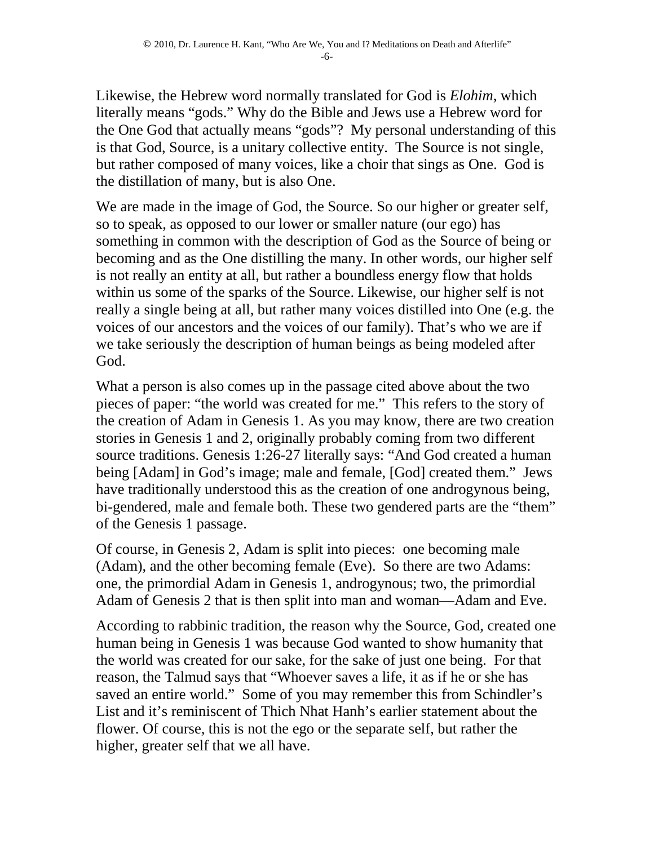Likewise, the Hebrew word normally translated for God is *Elohim*, which literally means "gods." Why do the Bible and Jews use a Hebrew word for the One God that actually means "gods"? My personal understanding of this is that God, Source, is a unitary collective entity. The Source is not single, but rather composed of many voices, like a choir that sings as One. God is the distillation of many, but is also One.

We are made in the image of God, the Source. So our higher or greater self, so to speak, as opposed to our lower or smaller nature (our ego) has something in common with the description of God as the Source of being or becoming and as the One distilling the many. In other words, our higher self is not really an entity at all, but rather a boundless energy flow that holds within us some of the sparks of the Source. Likewise, our higher self is not really a single being at all, but rather many voices distilled into One (e.g. the voices of our ancestors and the voices of our family). That's who we are if we take seriously the description of human beings as being modeled after God.

What a person is also comes up in the passage cited above about the two pieces of paper: "the world was created for me." This refers to the story of the creation of Adam in Genesis 1. As you may know, there are two creation stories in Genesis 1 and 2, originally probably coming from two different source traditions. Genesis 1:26-27 literally says: "And God created a human being [Adam] in God's image; male and female, [God] created them." Jews have traditionally understood this as the creation of one androgynous being, bi-gendered, male and female both. These two gendered parts are the "them" of the Genesis 1 passage.

Of course, in Genesis 2, Adam is split into pieces: one becoming male (Adam), and the other becoming female (Eve). So there are two Adams: one, the primordial Adam in Genesis 1, androgynous; two, the primordial Adam of Genesis 2 that is then split into man and woman—Adam and Eve.

According to rabbinic tradition, the reason why the Source, God, created one human being in Genesis 1 was because God wanted to show humanity that the world was created for our sake, for the sake of just one being. For that reason, the Talmud says that "Whoever saves a life, it as if he or she has saved an entire world." Some of you may remember this from Schindler's List and it's reminiscent of Thich Nhat Hanh's earlier statement about the flower. Of course, this is not the ego or the separate self, but rather the higher, greater self that we all have.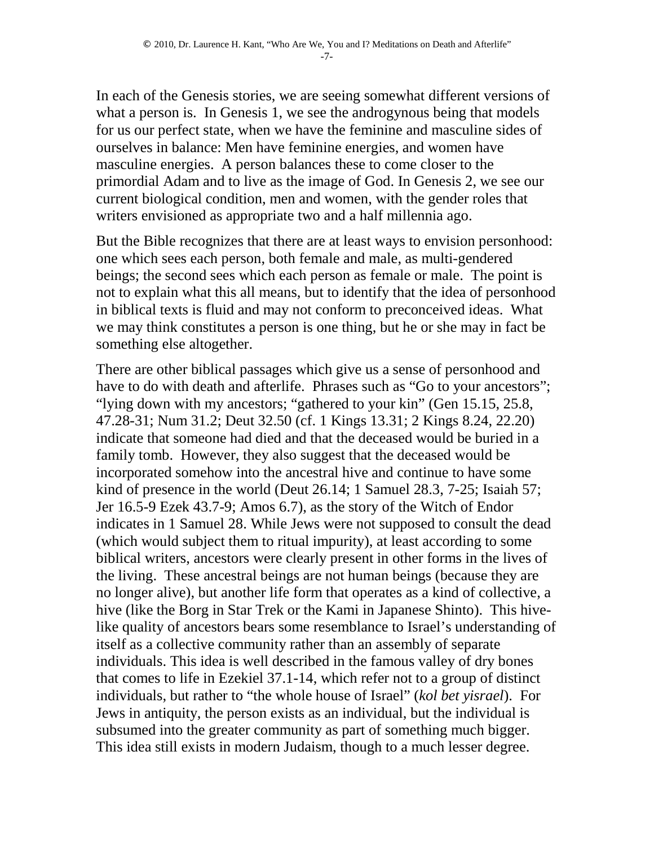In each of the Genesis stories, we are seeing somewhat different versions of what a person is. In Genesis 1, we see the androgynous being that models for us our perfect state, when we have the feminine and masculine sides of ourselves in balance: Men have feminine energies, and women have masculine energies. A person balances these to come closer to the primordial Adam and to live as the image of God. In Genesis 2, we see our current biological condition, men and women, with the gender roles that writers envisioned as appropriate two and a half millennia ago.

But the Bible recognizes that there are at least ways to envision personhood: one which sees each person, both female and male, as multi-gendered beings; the second sees which each person as female or male. The point is not to explain what this all means, but to identify that the idea of personhood in biblical texts is fluid and may not conform to preconceived ideas. What we may think constitutes a person is one thing, but he or she may in fact be something else altogether.

There are other biblical passages which give us a sense of personhood and have to do with death and afterlife. Phrases such as "Go to your ancestors"; "lying down with my ancestors; "gathered to your kin" (Gen 15.15, 25.8, 47.28-31; Num 31.2; Deut 32.50 (cf. 1 Kings 13.31; 2 Kings 8.24, 22.20) indicate that someone had died and that the deceased would be buried in a family tomb. However, they also suggest that the deceased would be incorporated somehow into the ancestral hive and continue to have some kind of presence in the world (Deut 26.14; 1 Samuel 28.3, 7-25; Isaiah 57; Jer 16.5-9 Ezek 43.7-9; Amos 6.7), as the story of the Witch of Endor indicates in 1 Samuel 28. While Jews were not supposed to consult the dead (which would subject them to ritual impurity), at least according to some biblical writers, ancestors were clearly present in other forms in the lives of the living. These ancestral beings are not human beings (because they are no longer alive), but another life form that operates as a kind of collective, a hive (like the Borg in Star Trek or the Kami in Japanese Shinto). This hivelike quality of ancestors bears some resemblance to Israel's understanding of itself as a collective community rather than an assembly of separate individuals. This idea is well described in the famous valley of dry bones that comes to life in Ezekiel 37.1-14, which refer not to a group of distinct individuals, but rather to "the whole house of Israel" (*kol bet yisrael*). For Jews in antiquity, the person exists as an individual, but the individual is subsumed into the greater community as part of something much bigger. This idea still exists in modern Judaism, though to a much lesser degree.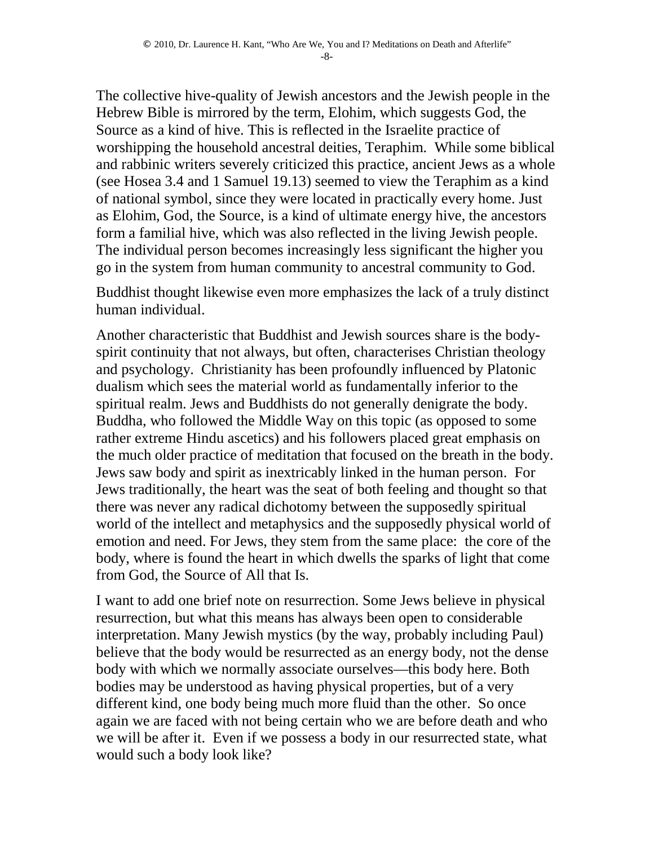The collective hive-quality of Jewish ancestors and the Jewish people in the Hebrew Bible is mirrored by the term, Elohim, which suggests God, the Source as a kind of hive. This is reflected in the Israelite practice of worshipping the household ancestral deities, Teraphim. While some biblical and rabbinic writers severely criticized this practice, ancient Jews as a whole (see Hosea 3.4 and 1 Samuel 19.13) seemed to view the Teraphim as a kind of national symbol, since they were located in practically every home. Just as Elohim, God, the Source, is a kind of ultimate energy hive, the ancestors form a familial hive, which was also reflected in the living Jewish people. The individual person becomes increasingly less significant the higher you go in the system from human community to ancestral community to God.

Buddhist thought likewise even more emphasizes the lack of a truly distinct human individual.

Another characteristic that Buddhist and Jewish sources share is the bodyspirit continuity that not always, but often, characterises Christian theology and psychology. Christianity has been profoundly influenced by Platonic dualism which sees the material world as fundamentally inferior to the spiritual realm. Jews and Buddhists do not generally denigrate the body. Buddha, who followed the Middle Way on this topic (as opposed to some rather extreme Hindu ascetics) and his followers placed great emphasis on the much older practice of meditation that focused on the breath in the body. Jews saw body and spirit as inextricably linked in the human person. For Jews traditionally, the heart was the seat of both feeling and thought so that there was never any radical dichotomy between the supposedly spiritual world of the intellect and metaphysics and the supposedly physical world of emotion and need. For Jews, they stem from the same place: the core of the body, where is found the heart in which dwells the sparks of light that come from God, the Source of All that Is.

I want to add one brief note on resurrection. Some Jews believe in physical resurrection, but what this means has always been open to considerable interpretation. Many Jewish mystics (by the way, probably including Paul) believe that the body would be resurrected as an energy body, not the dense body with which we normally associate ourselves—this body here. Both bodies may be understood as having physical properties, but of a very different kind, one body being much more fluid than the other. So once again we are faced with not being certain who we are before death and who we will be after it. Even if we possess a body in our resurrected state, what would such a body look like?